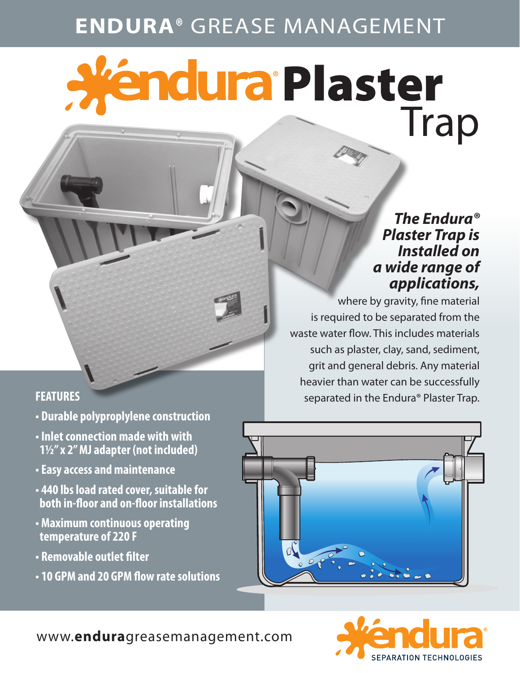# **ENDURA®** GREASE MANAGEMENT

# a Plaster<br>Trap

### *The Endura® Plaster Trap is Installed on a wide range of applications,*

where by gravity, fine material is required to be separated from the waste water flow. This includes materials such as plaster, clay, sand, sediment, grit and general debris. Any material heavier than water can be successfully **FEATURES Separated in the Endura**® Plaster Trap.

- **Durable polyproplylene construction**
- **Inlet connection made with with 11/2" x 2" MJ adapter (not included)**
- **Easy access and maintenance**
- **440 lbs load rated cover, suitable for both in-floor and on-floor installations**
- **Maximum continuous operating temperature of 220 F**
- **Removable outlet filter**
- **10 GPM and 20 GPM flow rate solutions**





www.**endura**greasemanagement.com